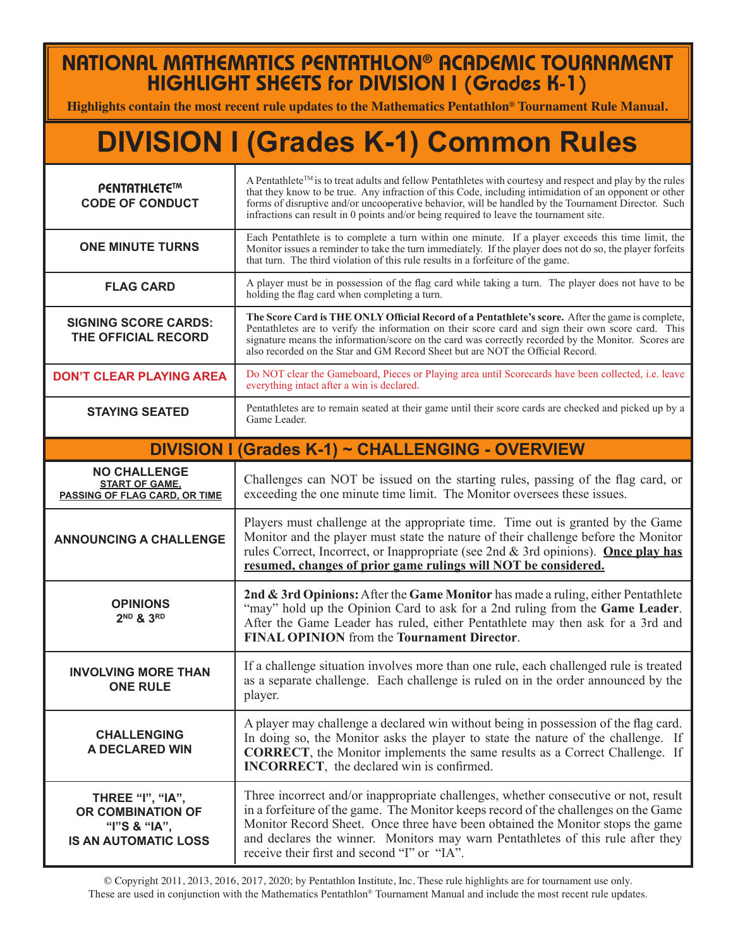## NATIONAL MATHEMATICS PENTATHLON® ACADEMIC TOURNAMENT HIGHLIGHT SHEETS for DIVISION I (Grades K-1)

**Highlights contain the most recent rule updates to the Mathematics Pentathlon® Tournament Rule Manual.**

## **DIVISION I (Grades K-1) Common Rules**

| <b>PENTATHLETE™</b><br><b>CODE OF CONDUCT</b>                                        | A Pentathlete <sup>™</sup> is to treat adults and fellow Pentathletes with courtesy and respect and play by the rules<br>that they know to be true. Any infraction of this Code, including intimidation of an opponent or other<br>forms of disruptive and/or uncooperative behavior, will be handled by the Tournament Director. Such<br>infractions can result in 0 points and/or being required to leave the tournament site. |
|--------------------------------------------------------------------------------------|----------------------------------------------------------------------------------------------------------------------------------------------------------------------------------------------------------------------------------------------------------------------------------------------------------------------------------------------------------------------------------------------------------------------------------|
| <b>ONE MINUTE TURNS</b>                                                              | Each Pentathlete is to complete a turn within one minute. If a player exceeds this time limit, the<br>Monitor issues a reminder to take the turn immediately. If the player does not do so, the player forfeits<br>that turn. The third violation of this rule results in a forfeiture of the game.                                                                                                                              |
| <b>FLAG CARD</b>                                                                     | A player must be in possession of the flag card while taking a turn. The player does not have to be<br>holding the flag card when completing a turn.                                                                                                                                                                                                                                                                             |
| <b>SIGNING SCORE CARDS:</b><br>THE OFFICIAL RECORD                                   | The Score Card is THE ONLY Official Record of a Pentathlete's score. After the game is complete,<br>Pentathletes are to verify the information on their score card and sign their own score card. This<br>signature means the information/score on the card was correctly recorded by the Monitor. Scores are<br>also recorded on the Star and GM Record Sheet but are NOT the Official Record.                                  |
| <b>DON'T CLEAR PLAYING AREA</b>                                                      | Do NOT clear the Gameboard, Pieces or Playing area until Scorecards have been collected, i.e. leave<br>everything intact after a win is declared.                                                                                                                                                                                                                                                                                |
| <b>STAYING SEATED</b>                                                                | Pentathletes are to remain seated at their game until their score cards are checked and picked up by a<br>Game Leader.                                                                                                                                                                                                                                                                                                           |
|                                                                                      | DIVISION I (Grades K-1) ~ CHALLENGING - OVERVIEW                                                                                                                                                                                                                                                                                                                                                                                 |
| <b>NO CHALLENGE</b><br><b>START OF GAME,</b><br><b>PASSING OF FLAG CARD, OR TIME</b> | Challenges can NOT be issued on the starting rules, passing of the flag card, or<br>exceeding the one minute time limit. The Monitor oversees these issues.                                                                                                                                                                                                                                                                      |
| <b>ANNOUNCING A CHALLENGE</b>                                                        | Players must challenge at the appropriate time. Time out is granted by the Game<br>Monitor and the player must state the nature of their challenge before the Monitor<br>rules Correct, Incorrect, or Inappropriate (see 2nd & 3rd opinions). Once play has<br>resumed, changes of prior game rulings will NOT be considered.                                                                                                    |
| <b>OPINIONS</b><br>2 <sup>ND</sup> & 3RD                                             | 2nd & 3rd Opinions: After the Game Monitor has made a ruling, either Pentathlete<br>"may" hold up the Opinion Card to ask for a 2nd ruling from the Game Leader.<br>After the Game Leader has ruled, either Pentathlete may then ask for a 3rd and<br><b>FINAL OPINION</b> from the Tournament Director.                                                                                                                         |
| <b>INVOLVING MORE THAN</b><br><b>ONE RULE</b>                                        | If a challenge situation involves more than one rule, each challenged rule is treated<br>as a separate challenge. Each challenge is ruled on in the order announced by the<br>player.                                                                                                                                                                                                                                            |
| <b>CHALLENGING</b><br>A DECLARED WIN                                                 | A player may challenge a declared win without being in possession of the flag card.<br>In doing so, the Monitor asks the player to state the nature of the challenge. If<br><b>CORRECT</b> , the Monitor implements the same results as a Correct Challenge. If<br><b>INCORRECT</b> , the declared win is confirmed.                                                                                                             |
| THREE "I", "IA",<br>OR COMBINATION OF<br>"I"S & "IA",<br><b>IS AN AUTOMATIC LOSS</b> | Three incorrect and/or inappropriate challenges, whether consecutive or not, result<br>in a forfeiture of the game. The Monitor keeps record of the challenges on the Game<br>Monitor Record Sheet. Once three have been obtained the Monitor stops the game<br>and declares the winner. Monitors may warn Pentathletes of this rule after they<br>receive their first and second "I" or "IA".                                   |

© Copyright 2011, 2013, 2016, 2017, 2020; by Pentathlon Institute, Inc. These rule highlights are for tournament use only. These are used in conjunction with the Mathematics Pentathlon® Tournament Manual and include the most recent rule updates.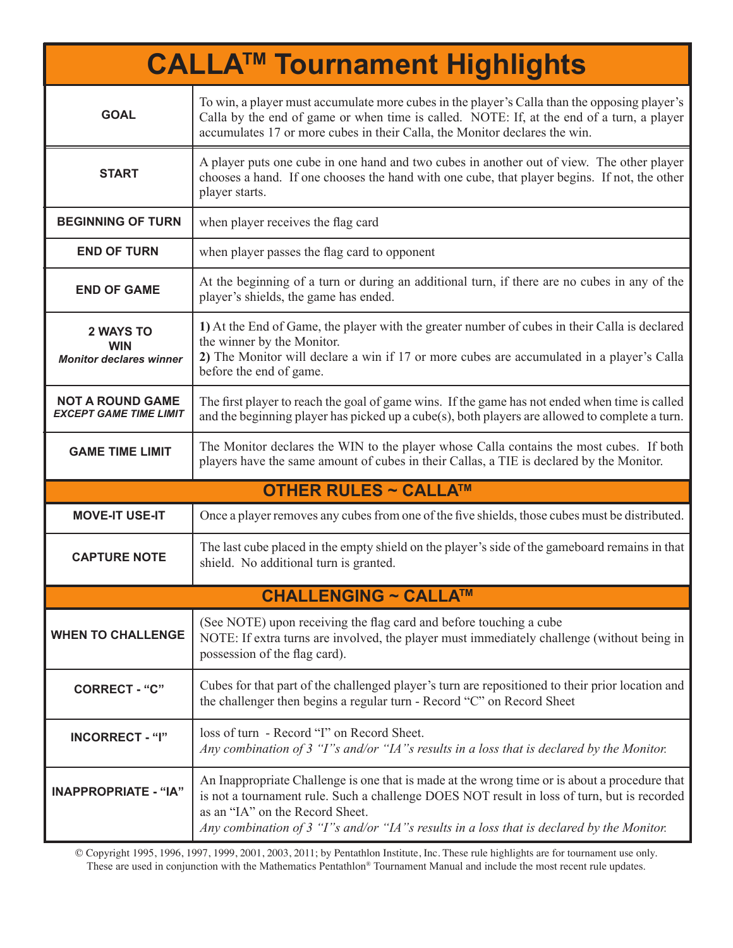| <b>CALLA<sup>™</sup> Tournament Highlights</b>                   |                                                                                                                                                                                                                                                                                                                              |  |
|------------------------------------------------------------------|------------------------------------------------------------------------------------------------------------------------------------------------------------------------------------------------------------------------------------------------------------------------------------------------------------------------------|--|
| <b>GOAL</b>                                                      | To win, a player must accumulate more cubes in the player's Calla than the opposing player's<br>Calla by the end of game or when time is called. NOTE: If, at the end of a turn, a player<br>accumulates 17 or more cubes in their Calla, the Monitor declares the win.                                                      |  |
| <b>START</b>                                                     | A player puts one cube in one hand and two cubes in another out of view. The other player<br>chooses a hand. If one chooses the hand with one cube, that player begins. If not, the other<br>player starts.                                                                                                                  |  |
| <b>BEGINNING OF TURN</b>                                         | when player receives the flag card                                                                                                                                                                                                                                                                                           |  |
| <b>END OF TURN</b>                                               | when player passes the flag card to opponent                                                                                                                                                                                                                                                                                 |  |
| <b>END OF GAME</b>                                               | At the beginning of a turn or during an additional turn, if there are no cubes in any of the<br>player's shields, the game has ended.                                                                                                                                                                                        |  |
| <b>2 WAYS TO</b><br><b>WIN</b><br><b>Monitor declares winner</b> | 1) At the End of Game, the player with the greater number of cubes in their Calla is declared<br>the winner by the Monitor.<br>2) The Monitor will declare a win if 17 or more cubes are accumulated in a player's Calla<br>before the end of game.                                                                          |  |
| <b>NOT A ROUND GAME</b><br><b>EXCEPT GAME TIME LIMIT</b>         | The first player to reach the goal of game wins. If the game has not ended when time is called<br>and the beginning player has picked up a cube(s), both players are allowed to complete a turn.                                                                                                                             |  |
| <b>GAME TIME LIMIT</b>                                           | The Monitor declares the WIN to the player whose Calla contains the most cubes. If both<br>players have the same amount of cubes in their Callas, a TIE is declared by the Monitor.                                                                                                                                          |  |
|                                                                  | <b>OTHER RULES ~ CALLA™</b>                                                                                                                                                                                                                                                                                                  |  |
| <b>MOVE-IT USE-IT</b>                                            | Once a player removes any cubes from one of the five shields, those cubes must be distributed.                                                                                                                                                                                                                               |  |
| <b>CAPTURE NOTE</b>                                              | The last cube placed in the empty shield on the player's side of the gameboard remains in that<br>shield. No additional turn is granted.                                                                                                                                                                                     |  |
|                                                                  | <b>CHALLENGING ~ CALLA™</b>                                                                                                                                                                                                                                                                                                  |  |
| <b>WHEN TO CHALLENGE</b>                                         | (See NOTE) upon receiving the flag card and before touching a cube<br>NOTE: If extra turns are involved, the player must immediately challenge (without being in<br>possession of the flag card).                                                                                                                            |  |
| <b>CORRECT - "C"</b>                                             | Cubes for that part of the challenged player's turn are repositioned to their prior location and<br>the challenger then begins a regular turn - Record "C" on Record Sheet                                                                                                                                                   |  |
| <b>INCORRECT - "I"</b>                                           | loss of turn - Record "I" on Record Sheet.<br>Any combination of 3 "I"s and/or "IA"s results in a loss that is declared by the Monitor.                                                                                                                                                                                      |  |
| <b>INAPPROPRIATE - "IA"</b>                                      | An Inappropriate Challenge is one that is made at the wrong time or is about a procedure that<br>is not a tournament rule. Such a challenge DOES NOT result in loss of turn, but is recorded<br>as an "IA" on the Record Sheet.<br>Any combination of 3 "I"s and/or "IA"s results in a loss that is declared by the Monitor. |  |

© Copyright 1995, 1996, 1997, 1999, 2001, 2003, 2011; by Pentathlon Institute, Inc. These rule highlights are for tournament use only. These are used in conjunction with the Mathematics Pentathlon® Tournament Manual and include the most recent rule updates.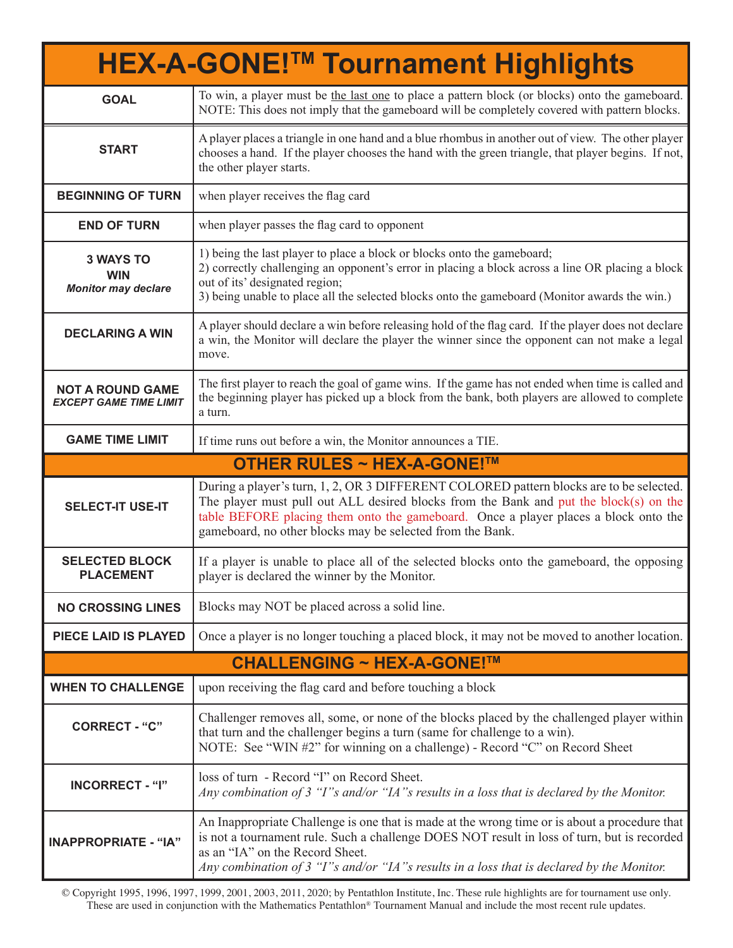|                                                              | <b>HEX-A-GONE!™ Tournament Highlights</b>                                                                                                                                                                                                                                                                                            |  |
|--------------------------------------------------------------|--------------------------------------------------------------------------------------------------------------------------------------------------------------------------------------------------------------------------------------------------------------------------------------------------------------------------------------|--|
| <b>GOAL</b>                                                  | To win, a player must be the last one to place a pattern block (or blocks) onto the gameboard.<br>NOTE: This does not imply that the gameboard will be completely covered with pattern blocks.                                                                                                                                       |  |
| <b>START</b>                                                 | A player places a triangle in one hand and a blue rhombus in another out of view. The other player<br>chooses a hand. If the player chooses the hand with the green triangle, that player begins. If not,<br>the other player starts.                                                                                                |  |
| <b>BEGINNING OF TURN</b>                                     | when player receives the flag card                                                                                                                                                                                                                                                                                                   |  |
| <b>END OF TURN</b>                                           | when player passes the flag card to opponent                                                                                                                                                                                                                                                                                         |  |
| <b>3 WAYS TO</b><br><b>WIN</b><br><b>Monitor may declare</b> | 1) being the last player to place a block or blocks onto the gameboard;<br>2) correctly challenging an opponent's error in placing a block across a line OR placing a block<br>out of its' designated region;<br>3) being unable to place all the selected blocks onto the gameboard (Monitor awards the win.)                       |  |
| <b>DECLARING A WIN</b>                                       | A player should declare a win before releasing hold of the flag card. If the player does not declare<br>a win, the Monitor will declare the player the winner since the opponent can not make a legal<br>move.                                                                                                                       |  |
| <b>NOT A ROUND GAME</b><br><b>EXCEPT GAME TIME LIMIT</b>     | The first player to reach the goal of game wins. If the game has not ended when time is called and<br>the beginning player has picked up a block from the bank, both players are allowed to complete<br>a turn.                                                                                                                      |  |
| <b>GAME TIME LIMIT</b>                                       | If time runs out before a win, the Monitor announces a TIE.                                                                                                                                                                                                                                                                          |  |
| <b>OTHER RULES ~ HEX-A-GONE!™</b>                            |                                                                                                                                                                                                                                                                                                                                      |  |
|                                                              |                                                                                                                                                                                                                                                                                                                                      |  |
| <b>SELECT-IT USE-IT</b>                                      | During a player's turn, 1, 2, OR 3 DIFFERENT COLORED pattern blocks are to be selected.<br>The player must pull out ALL desired blocks from the Bank and put the block(s) on the<br>table BEFORE placing them onto the gameboard. Once a player places a block onto the<br>gameboard, no other blocks may be selected from the Bank. |  |
| <b>SELECTED BLOCK</b><br><b>PLACEMENT</b>                    | If a player is unable to place all of the selected blocks onto the gameboard, the opposing<br>player is declared the winner by the Monitor.                                                                                                                                                                                          |  |
| <b>NO CROSSING LINES</b>                                     | Blocks may NOT be placed across a solid line.                                                                                                                                                                                                                                                                                        |  |
| PIECE LAID IS PLAYED                                         | Once a player is no longer touching a placed block, it may not be moved to another location.                                                                                                                                                                                                                                         |  |
|                                                              | <b>CHALLENGING ~ HEX-A-GONE!™</b>                                                                                                                                                                                                                                                                                                    |  |
| <b>WHEN TO CHALLENGE</b>                                     | upon receiving the flag card and before touching a block                                                                                                                                                                                                                                                                             |  |
| <b>CORRECT - "C"</b>                                         | Challenger removes all, some, or none of the blocks placed by the challenged player within<br>that turn and the challenger begins a turn (same for challenge to a win).<br>NOTE: See "WIN #2" for winning on a challenge) - Record "C" on Record Sheet                                                                               |  |
| <b>INCORRECT - "I"</b>                                       | loss of turn - Record "I" on Record Sheet.<br>Any combination of 3 "I"s and/or "IA"s results in a loss that is declared by the Monitor.                                                                                                                                                                                              |  |

© Copyright 1995, 1996, 1997, 1999, 2001, 2003, 2011, 2020; by Pentathlon Institute, Inc. These rule highlights are for tournament use only. These are used in conjunction with the Mathematics Pentathlon® Tournament Manual and include the most recent rule updates.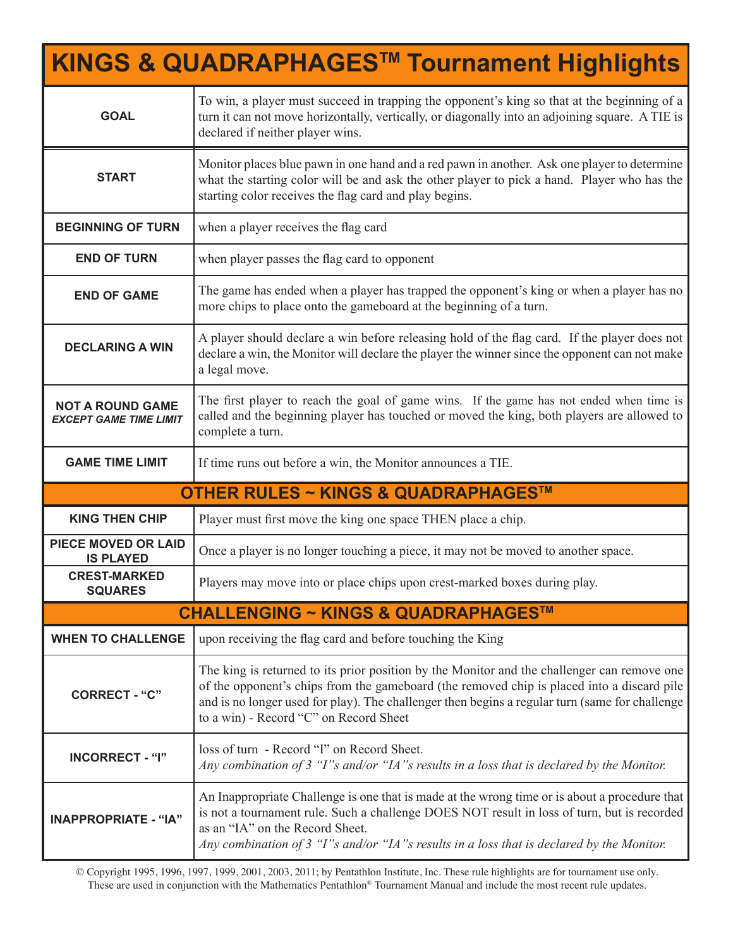| <b>KINGS &amp; QUADRAPHAGES™ Tournament Highlights</b>   |                                                                                                                                                                                                                                                                                                                                       |  |
|----------------------------------------------------------|---------------------------------------------------------------------------------------------------------------------------------------------------------------------------------------------------------------------------------------------------------------------------------------------------------------------------------------|--|
| <b>GOAL</b>                                              | To win, a player must succeed in trapping the opponent's king so that at the beginning of a<br>turn it can not move horizontally, vertically, or diagonally into an adjoining square. A TIE is<br>declared if neither player wins.                                                                                                    |  |
| <b>START</b>                                             | Monitor places blue pawn in one hand and a red pawn in another. Ask one player to determine<br>what the starting color will be and ask the other player to pick a hand. Player who has the<br>starting color receives the flag card and play begins.                                                                                  |  |
| <b>BEGINNING OF TURN</b>                                 | when a player receives the flag card                                                                                                                                                                                                                                                                                                  |  |
| <b>END OF TURN</b>                                       | when player passes the flag card to opponent                                                                                                                                                                                                                                                                                          |  |
| <b>END OF GAME</b>                                       | The game has ended when a player has trapped the opponent's king or when a player has no<br>more chips to place onto the gameboard at the beginning of a turn.                                                                                                                                                                        |  |
| <b>DECLARING A WIN</b>                                   | A player should declare a win before releasing hold of the flag card. If the player does not<br>declare a win, the Monitor will declare the player the winner since the opponent can not make<br>a legal move.                                                                                                                        |  |
| <b>NOT A ROUND GAME</b><br><b>EXCEPT GAME TIME LIMIT</b> | The first player to reach the goal of game wins. If the game has not ended when time is<br>called and the beginning player has touched or moved the king, both players are allowed to<br>complete a turn.                                                                                                                             |  |
| <b>GAME TIME LIMIT</b>                                   | If time runs out before a win, the Monitor announces a TIE.                                                                                                                                                                                                                                                                           |  |
| <b>OTHER RULES ~ KINGS &amp; QUADRAPHAGES™</b>           |                                                                                                                                                                                                                                                                                                                                       |  |
| <b>KING THEN CHIP</b>                                    | Player must first move the king one space THEN place a chip.                                                                                                                                                                                                                                                                          |  |
| <b>PIECE MOVED OR LAID</b><br><b>IS PLAYED</b>           | Once a player is no longer touching a piece, it may not be moved to another space.                                                                                                                                                                                                                                                    |  |
| <b>CREST-MARKED</b><br><b>SQUARES</b>                    | Players may move into or place chips upon crest-marked boxes during play.                                                                                                                                                                                                                                                             |  |
|                                                          | <b>CHALLENGING ~ KINGS &amp; QUADRAPHAGES™</b>                                                                                                                                                                                                                                                                                        |  |
| <b>WHEN TO CHALLENGE</b>                                 | upon receiving the flag card and before touching the King                                                                                                                                                                                                                                                                             |  |
| <b>CORRECT - "C"</b>                                     | The king is returned to its prior position by the Monitor and the challenger can remove one<br>of the opponent's chips from the gameboard (the removed chip is placed into a discard pile<br>and is no longer used for play). The challenger then begins a regular turn (same for challenge<br>to a win) - Record "C" on Record Sheet |  |
| <b>INCORRECT - "I"</b>                                   | loss of turn - Record "I" on Record Sheet.<br>Any combination of 3 "I"s and/or "IA"s results in a loss that is declared by the Monitor.                                                                                                                                                                                               |  |
| <b>INAPPROPRIATE - "IA"</b>                              | An Inappropriate Challenge is one that is made at the wrong time or is about a procedure that<br>is not a tournament rule. Such a challenge DOES NOT result in loss of turn, but is recorded<br>as an "IA" on the Record Sheet.<br>Any combination of 3 "I"s and/or "IA"s results in a loss that is declared by the Monitor.          |  |

© Copyright 1995, 1996, 1997, 1999, 2001, 2003, 2011; by Pentathlon Institute, Inc. These rule highlights are for tournament use only. These are used in conjunction with the Mathematics Pentathlon® Tournament Manual and include the most recent rule updates.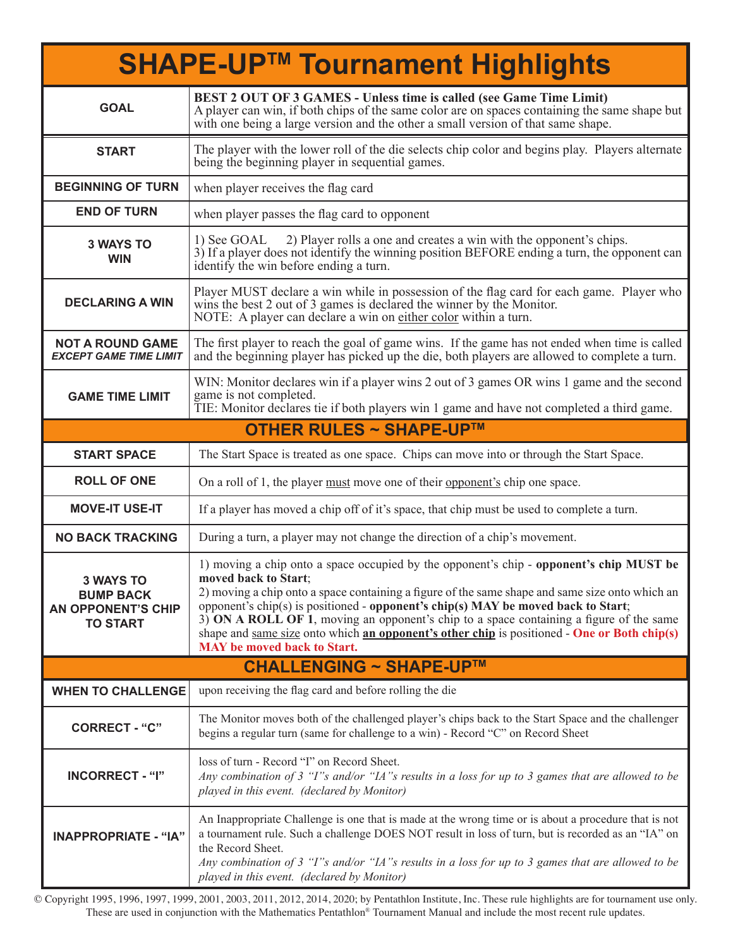| <b>SHAPE-UP™ Tournament Highlights</b>                                               |                                                                                                                                                                                                                                                                                                                                                                                                                                                                                                                                                              |  |
|--------------------------------------------------------------------------------------|--------------------------------------------------------------------------------------------------------------------------------------------------------------------------------------------------------------------------------------------------------------------------------------------------------------------------------------------------------------------------------------------------------------------------------------------------------------------------------------------------------------------------------------------------------------|--|
| <b>GOAL</b>                                                                          | <b>BEST 2 OUT OF 3 GAMES - Unless time is called (see Game Time Limit)</b><br>A player can win, if both chips of the same color are on spaces containing the same shape but<br>with one being a large version and the other a small version of that same shape.                                                                                                                                                                                                                                                                                              |  |
| <b>START</b>                                                                         | The player with the lower roll of the die selects chip color and begins play. Players alternate<br>being the beginning player in sequential games.                                                                                                                                                                                                                                                                                                                                                                                                           |  |
| <b>BEGINNING OF TURN</b>                                                             | when player receives the flag card                                                                                                                                                                                                                                                                                                                                                                                                                                                                                                                           |  |
| <b>END OF TURN</b>                                                                   | when player passes the flag card to opponent                                                                                                                                                                                                                                                                                                                                                                                                                                                                                                                 |  |
| <b>3 WAYS TO</b><br><b>WIN</b>                                                       | 2) Player rolls a one and creates a win with the opponent's chips.<br>1) See GOAL<br>3) If a player does not identify the winning position BEFORE ending a turn, the opponent can<br>identify the win before ending a turn.                                                                                                                                                                                                                                                                                                                                  |  |
| <b>DECLARING A WIN</b>                                                               | Player MUST declare a win while in possession of the flag card for each game. Player who<br>wins the best 2 out of 3 games is declared the winner by the Monitor.<br>NOTE: A player can declare a win on either color within a turn.                                                                                                                                                                                                                                                                                                                         |  |
| <b>NOT A ROUND GAME</b><br><b>EXCEPT GAME TIME LIMIT</b>                             | The first player to reach the goal of game wins. If the game has not ended when time is called<br>and the beginning player has picked up the die, both players are allowed to complete a turn.                                                                                                                                                                                                                                                                                                                                                               |  |
| <b>GAME TIME LIMIT</b>                                                               | WIN: Monitor declares win if a player wins 2 out of 3 games OR wins 1 game and the second<br>game is not completed.<br>TIE: Monitor declares tie if both players win 1 game and have not completed a third game.                                                                                                                                                                                                                                                                                                                                             |  |
|                                                                                      | <b>OTHER RULES ~ SHAPE-UP™</b>                                                                                                                                                                                                                                                                                                                                                                                                                                                                                                                               |  |
| <b>START SPACE</b>                                                                   | The Start Space is treated as one space. Chips can move into or through the Start Space.                                                                                                                                                                                                                                                                                                                                                                                                                                                                     |  |
| <b>ROLL OF ONE</b>                                                                   | On a roll of 1, the player must move one of their opponent's chip one space.                                                                                                                                                                                                                                                                                                                                                                                                                                                                                 |  |
| <b>MOVE-IT USE-IT</b>                                                                | If a player has moved a chip off of it's space, that chip must be used to complete a turn.                                                                                                                                                                                                                                                                                                                                                                                                                                                                   |  |
| <b>NO BACK TRACKING</b>                                                              | During a turn, a player may not change the direction of a chip's movement.                                                                                                                                                                                                                                                                                                                                                                                                                                                                                   |  |
| <b>3 WAYS TO</b><br><b>BUMP BACK</b><br><b>AN OPPONENT'S CHIP</b><br><b>TO START</b> | 1) moving a chip onto a space occupied by the opponent's chip - opponent's chip MUST be<br>moved back to Start;<br>2) moving a chip onto a space containing a figure of the same shape and same size onto which an<br>opponent's chip(s) is positioned - opponent's chip(s) MAY be moved back to Start;<br>3) ON A ROLL OF 1, moving an opponent's chip to a space containing a figure of the same<br>shape and <u>same size</u> onto which <b>an opponent's other chip</b> is positioned - <b>One or Both chip(s)</b><br><b>MAY</b> be moved back to Start. |  |
| <b>CHALLENGING ~ SHAPE-UP™</b>                                                       |                                                                                                                                                                                                                                                                                                                                                                                                                                                                                                                                                              |  |
| <b>WHEN TO CHALLENGE</b>                                                             | upon receiving the flag card and before rolling the die                                                                                                                                                                                                                                                                                                                                                                                                                                                                                                      |  |
| <b>CORRECT - "C"</b>                                                                 | The Monitor moves both of the challenged player's chips back to the Start Space and the challenger<br>begins a regular turn (same for challenge to a win) - Record "C" on Record Sheet                                                                                                                                                                                                                                                                                                                                                                       |  |
| <b>INCORRECT - "I"</b>                                                               | loss of turn - Record "I" on Record Sheet.<br>Any combination of 3 "I"s and/or "IA"s results in a loss for up to 3 games that are allowed to be<br>played in this event. (declared by Monitor)                                                                                                                                                                                                                                                                                                                                                               |  |
| <b>INAPPROPRIATE - "IA"</b>                                                          | An Inappropriate Challenge is one that is made at the wrong time or is about a procedure that is not<br>a tournament rule. Such a challenge DOES NOT result in loss of turn, but is recorded as an "IA" on<br>the Record Sheet.<br>Any combination of 3 "I"s and/or "IA"s results in a loss for up to 3 games that are allowed to be<br>played in this event. (declared by Monitor)                                                                                                                                                                          |  |

© Copyright 1995, 1996, 1997, 1999, 2001, 2003, 2011, 2012, 2014, 2020; by Pentathlon Institute, Inc. These rule highlights are for tournament use only. These are used in conjunction with the Mathematics Pentathlon® Tournament Manual and include the most recent rule updates.